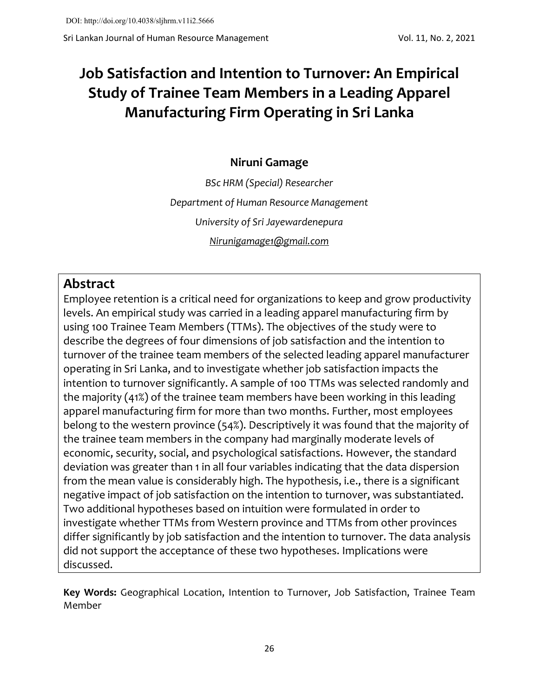# **Job Satisfaction and Intention to Turnover: An Empirical Study of Trainee Team Members in a Leading Apparel Manufacturing Firm Operating in Sri Lanka**

# **Niruni Gamage**

*BSc HRM (Special) Researcher Department of Human Resource Management University of Sri Jayewardenepura [Nirunigamage1@gmail.com](mailto:Nirunigamage1@gmail.com)*

# **Abstract**

Employee retention is a critical need for organizations to keep and grow productivity levels. An empirical study was carried in a leading apparel manufacturing firm by using 100 Trainee Team Members (TTMs). The objectives of the study were to describe the degrees of four dimensions of job satisfaction and the intention to turnover of the trainee team members of the selected leading apparel manufacturer operating in Sri Lanka, and to investigate whether job satisfaction impacts the intention to turnover significantly. A sample of 100 TTMs was selected randomly and the majority (41%) of the trainee team members have been working in this leading apparel manufacturing firm for more than two months. Further, most employees belong to the western province (54%). Descriptively it was found that the majority of the trainee team members in the company had marginally moderate levels of economic, security, social, and psychological satisfactions. However, the standard deviation was greater than 1 in all four variables indicating that the data dispersion from the mean value is considerably high. The hypothesis, i.e., there is a significant negative impact of job satisfaction on the intention to turnover, was substantiated. Two additional hypotheses based on intuition were formulated in order to investigate whether TTMs from Western province and TTMs from other provinces differ significantly by job satisfaction and the intention to turnover. The data analysis did not support the acceptance of these two hypotheses. Implications were discussed.

**Key Words:** Geographical Location, Intention to Turnover, Job Satisfaction, Trainee Team Member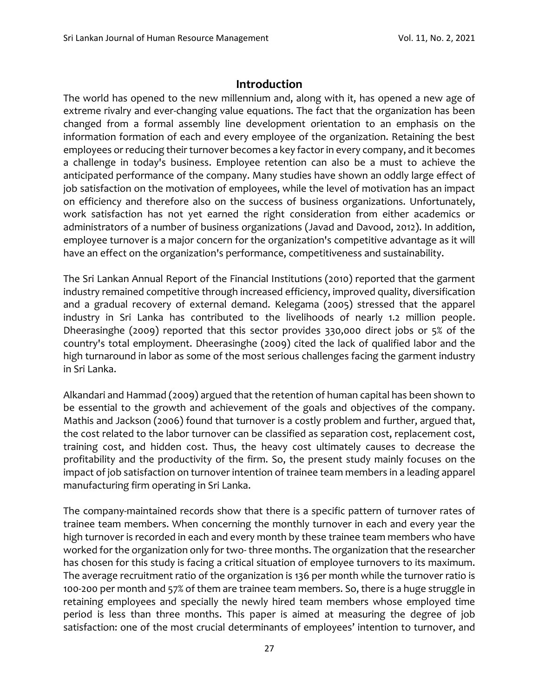#### **Introduction**

The world has opened to the new millennium and, along with it, has opened a new age of extreme rivalry and ever-changing value equations. The fact that the organization has been changed from a formal assembly line development orientation to an emphasis on the information formation of each and every employee of the organization. Retaining the best employees or reducing their turnover becomes a key factor in every company, and it becomes a challenge in today's business. Employee retention can also be a must to achieve the anticipated performance of the company. Many studies have shown an oddly large effect of job satisfaction on the motivation of employees, while the level of motivation has an impact on efficiency and therefore also on the success of business organizations. Unfortunately, work satisfaction has not yet earned the right consideration from either academics or administrators of a number of business organizations (Javad and Davood, 2012). In addition, employee turnover is a major concern for the organization's competitive advantage as it will have an effect on the organization's performance, competitiveness and sustainability.

The Sri Lankan Annual Report of the Financial Institutions (2010) reported that the garment industry remained competitive through increased efficiency, improved quality, diversification and a gradual recovery of external demand. Kelegama (2005) stressed that the apparel industry in Sri Lanka has contributed to the livelihoods of nearly 1.2 million people. Dheerasinghe (2009) reported that this sector provides 330,000 direct jobs or 5% of the country's total employment. Dheerasinghe (2009) cited the lack of qualified labor and the high turnaround in labor as some of the most serious challenges facing the garment industry in Sri Lanka.

Alkandari and Hammad (2009) argued that the retention of human capital has been shown to be essential to the growth and achievement of the goals and objectives of the company. Mathis and Jackson (2006) found that turnover is a costly problem and further, argued that, the cost related to the labor turnover can be classified as separation cost, replacement cost, training cost, and hidden cost. Thus, the heavy cost ultimately causes to decrease the profitability and the productivity of the firm. So, the present study mainly focuses on the impact of job satisfaction on turnover intention of trainee team members in a leading apparel manufacturing firm operating in Sri Lanka.

The company-maintained records show that there is a specific pattern of turnover rates of trainee team members. When concerning the monthly turnover in each and every year the high turnover is recorded in each and every month by these trainee team members who have worked for the organization only for two- three months. The organization that the researcher has chosen for this study is facing a critical situation of employee turnovers to its maximum. The average recruitment ratio of the organization is 136 per month while the turnover ratio is 100-200 per month and 57% of them are trainee team members. So, there is a huge struggle in retaining employees and specially the newly hired team members whose employed time period is less than three months. This paper is aimed at measuring the degree of job satisfaction: one of the most crucial determinants of employees' intention to turnover, and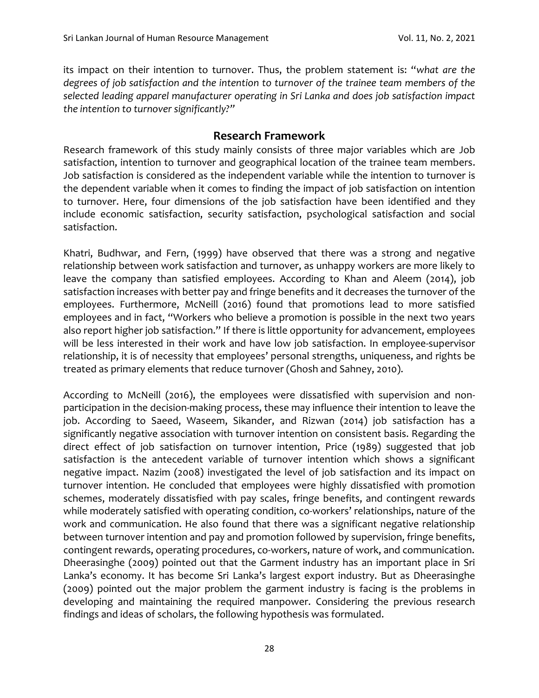its impact on their intention to turnover. Thus, the problem statement is: "*what are the degrees of job satisfaction and the intention to turnover of the trainee team members of the selected leading apparel manufacturer operating in Sri Lanka and does job satisfaction impact the intention to turnover significantly?"*

#### **Research Framework**

Research framework of this study mainly consists of three major variables which are Job satisfaction, intention to turnover and geographical location of the trainee team members. Job satisfaction is considered as the independent variable while the intention to turnover is the dependent variable when it comes to finding the impact of job satisfaction on intention to turnover. Here, four dimensions of the job satisfaction have been identified and they include economic satisfaction, security satisfaction, psychological satisfaction and social satisfaction.

Khatri, Budhwar, and Fern, (1999) have observed that there was a strong and negative relationship between work satisfaction and turnover, as unhappy workers are more likely to leave the company than satisfied employees. According to Khan and Aleem (2014), job satisfaction increases with better pay and fringe benefits and it decreases the turnover of the employees. Furthermore, McNeill (2016) found that promotions lead to more satisfied employees and in fact, "Workers who believe a promotion is possible in the next two years also report higher job satisfaction." If there is little opportunity for advancement, employees will be less interested in their work and have low job satisfaction. In employee-supervisor relationship, it is of necessity that employees' personal strengths, uniqueness, and rights be treated as primary elements that reduce turnover (Ghosh and Sahney, 2010).

According to McNeill (2016), the employees were dissatisfied with supervision and nonparticipation in the decision-making process, these may influence their intention to leave the job. According to Saeed, Waseem, Sikander, and Rizwan (2014) job satisfaction has a significantly negative association with turnover intention on consistent basis. Regarding the direct effect of job satisfaction on turnover intention, Price (1989) suggested that job satisfaction is the antecedent variable of turnover intention which shows a significant negative impact. Nazim (2008) investigated the level of job satisfaction and its impact on turnover intention. He concluded that employees were highly dissatisfied with promotion schemes, moderately dissatisfied with pay scales, fringe benefits, and contingent rewards while moderately satisfied with operating condition, co-workers' relationships, nature of the work and communication. He also found that there was a significant negative relationship between turnover intention and pay and promotion followed by supervision, fringe benefits, contingent rewards, operating procedures, co-workers, nature of work, and communication. Dheerasinghe (2009) pointed out that the Garment industry has an important place in Sri Lanka's economy. It has become Sri Lanka's largest export industry. But as Dheerasinghe (2009) pointed out the major problem the garment industry is facing is the problems in developing and maintaining the required manpower. Considering the previous research findings and ideas of scholars, the following hypothesis was formulated.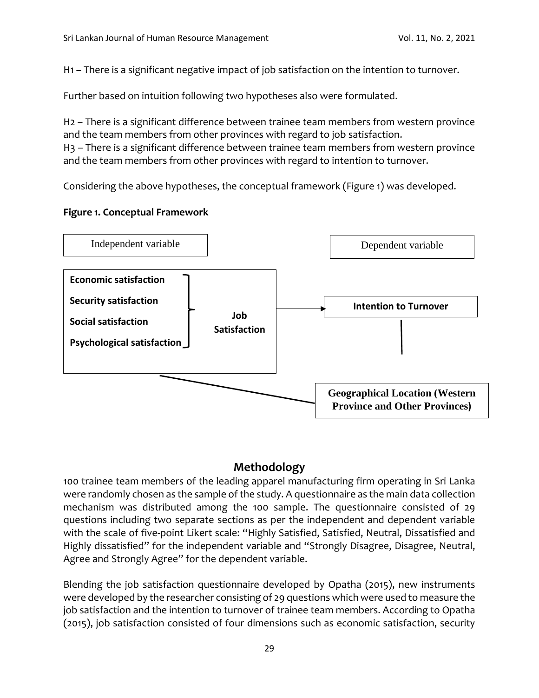H1 – There is a significant negative impact of job satisfaction on the intention to turnover.

Further based on intuition following two hypotheses also were formulated.

H2 – There is a significant difference between trainee team members from western province and the team members from other provinces with regard to job satisfaction. H3 – There is a significant difference between trainee team members from western province and the team members from other provinces with regard to intention to turnover.

Considering the above hypotheses, the conceptual framework (Figure 1) was developed.

#### **Figure 1. Conceptual Framework**



## **Methodology**

100 trainee team members of the leading apparel manufacturing firm operating in Sri Lanka were randomly chosen as the sample of the study. A questionnaire as the main data collection mechanism was distributed among the 100 sample. The questionnaire consisted of 29 questions including two separate sections as per the independent and dependent variable with the scale of five-point Likert scale: "Highly Satisfied, Satisfied, Neutral, Dissatisfied and Highly dissatisfied" for the independent variable and "Strongly Disagree, Disagree, Neutral, Agree and Strongly Agree" for the dependent variable.

Blending the job satisfaction questionnaire developed by Opatha (2015), new instruments were developed by the researcher consisting of 29 questions which were used to measure the job satisfaction and the intention to turnover of trainee team members. According to Opatha (2015), job satisfaction consisted of four dimensions such as economic satisfaction, security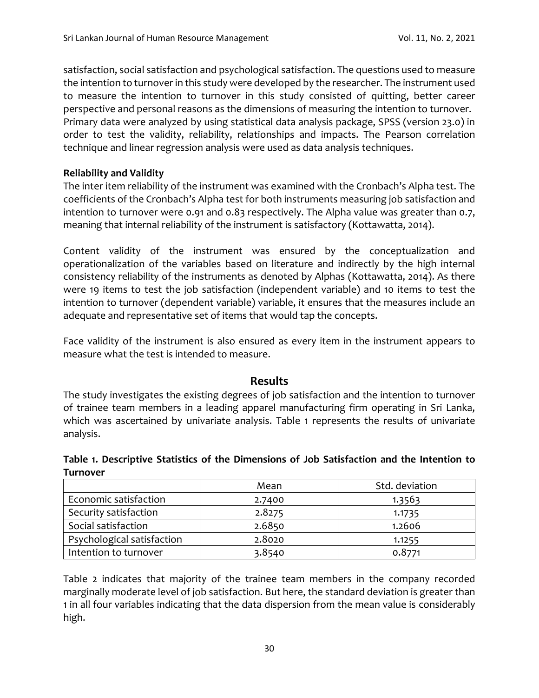satisfaction, social satisfaction and psychological satisfaction. The questions used to measure the intention to turnover in this study were developed by the researcher. The instrument used to measure the intention to turnover in this study consisted of quitting, better career perspective and personal reasons as the dimensions of measuring the intention to turnover. Primary data were analyzed by using statistical data analysis package, SPSS (version 23.0) in order to test the validity, reliability, relationships and impacts. The Pearson correlation technique and linear regression analysis were used as data analysis techniques.

#### **Reliability and Validity**

The inter item reliability of the instrument was examined with the Cronbach's Alpha test. The coefficients of the Cronbach's Alpha test for both instruments measuring job satisfaction and intention to turnover were 0.91 and 0.83 respectively. The Alpha value was greater than 0.7, meaning that internal reliability of the instrument is satisfactory (Kottawatta, 2014).

Content validity of the instrument was ensured by the conceptualization and operationalization of the variables based on literature and indirectly by the high internal consistency reliability of the instruments as denoted by Alphas (Kottawatta, 2014). As there were 19 items to test the job satisfaction (independent variable) and 10 items to test the intention to turnover (dependent variable) variable, it ensures that the measures include an adequate and representative set of items that would tap the concepts.

Face validity of the instrument is also ensured as every item in the instrument appears to measure what the test is intended to measure.

#### **Results**

The study investigates the existing degrees of job satisfaction and the intention to turnover of trainee team members in a leading apparel manufacturing firm operating in Sri Lanka, which was ascertained by univariate analysis. Table 1 represents the results of univariate analysis.

|                 |  |  | Table 1. Descriptive Statistics of the Dimensions of Job Satisfaction and the Intention to |  |
|-----------------|--|--|--------------------------------------------------------------------------------------------|--|
| <b>Turnover</b> |  |  |                                                                                            |  |

|                            | Mean   | Std. deviation |
|----------------------------|--------|----------------|
| Economic satisfaction      | 2.7400 | 1.3563         |
| Security satisfaction      | 2.8275 | 1.1735         |
| Social satisfaction        | 2.6850 | 1.2606         |
| Psychological satisfaction | 2.8020 | 1.1255         |
| Intention to turnover      | 3.8540 | 0.8771         |

Table 2 indicates that majority of the trainee team members in the company recorded marginally moderate level of job satisfaction. But here, the standard deviation is greater than 1 in all four variables indicating that the data dispersion from the mean value is considerably high.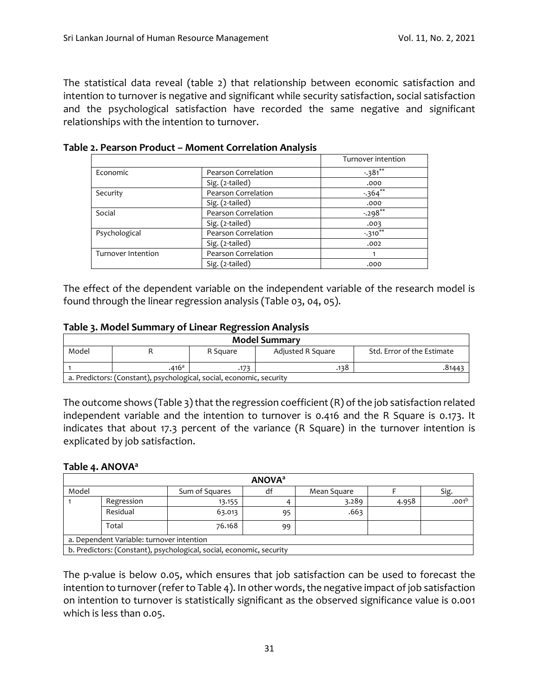The statistical data reveal (table 2) that relationship between economic satisfaction and intention to turnover is negative and significant while security satisfaction, social satisfaction and the psychological satisfaction have recorded the same negative and significant relationships with the intention to turnover.

|                    |                     | Turnover intention |
|--------------------|---------------------|--------------------|
| Economic           | Pearson Correlation | $-381$ **          |
|                    | Sig. (2-tailed)     | .000               |
| Security           | Pearson Correlation | $-364$ **          |
|                    | Sig. (2-tailed)     | .000               |
| Social             | Pearson Correlation | $-.298**$          |
|                    | Sig. (2-tailed)     | .003               |
| Psychological      | Pearson Correlation | $-310**$           |
|                    | Sig. (2-tailed)     | .002               |
| Turnover Intention | Pearson Correlation |                    |
|                    | Sig. (2-tailed)     | .000               |

**Table 2. Pearson Product – Moment Correlation Analysis**

The effect of the dependent variable on the independent variable of the research model is found through the linear regression analysis (Table 03, 04, 05).

#### **Table 3. Model Summary of Linear Regression Analysis**

|       | <b>Model Summary</b>                                                 |          |                   |                            |  |  |  |  |  |  |  |
|-------|----------------------------------------------------------------------|----------|-------------------|----------------------------|--|--|--|--|--|--|--|
| Model |                                                                      | R Square | Adjusted R Square | Std. Error of the Estimate |  |  |  |  |  |  |  |
|       | .416a                                                                | .173     | .138              | -8144.                     |  |  |  |  |  |  |  |
|       | a. Predictors: (Constant), psychological, social, economic, security |          |                   |                            |  |  |  |  |  |  |  |

The outcome shows (Table 3) that the regression coefficient (R) of the job satisfaction related independent variable and the intention to turnover is 0.416 and the R Square is 0.173. It indicates that about 17.3 percent of the variance (R Square) in the turnover intention is explicated by job satisfaction.

#### **Table 4. ANOVA<sup>a</sup>**

| <b>ANOVA</b> <sup>a</sup> |                                           |                                                                      |    |             |       |                   |  |  |  |  |
|---------------------------|-------------------------------------------|----------------------------------------------------------------------|----|-------------|-------|-------------------|--|--|--|--|
| Model                     |                                           | Sum of Squares                                                       | df | Mean Square |       | Sig.              |  |  |  |  |
|                           | Regression                                | 13.155                                                               |    | 3.289       | 4.958 | $.001^{\text{t}}$ |  |  |  |  |
|                           | Residual                                  | 63.013                                                               | 95 | .663        |       |                   |  |  |  |  |
|                           | Total                                     | 76.168                                                               | 99 |             |       |                   |  |  |  |  |
|                           | a. Dependent Variable: turnover intention |                                                                      |    |             |       |                   |  |  |  |  |
|                           |                                           | b. Predictors: (Constant), psychological, social, economic, security |    |             |       |                   |  |  |  |  |

The p-value is below 0.05, which ensures that job satisfaction can be used to forecast the intention to turnover (refer to Table 4). In other words, the negative impact of job satisfaction on intention to turnover is statistically significant as the observed significance value is 0.001 which is less than 0.05.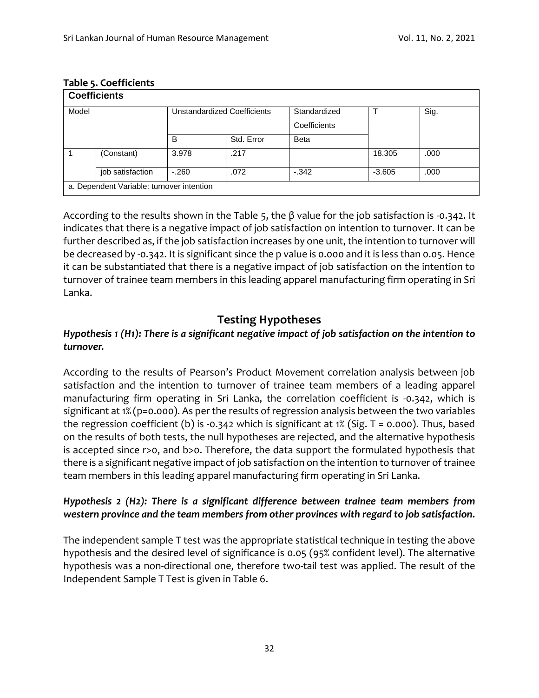| <b>Coefficients</b> |                                           |        |                             |                              |          |      |  |  |  |  |
|---------------------|-------------------------------------------|--------|-----------------------------|------------------------------|----------|------|--|--|--|--|
| Model               |                                           |        | Unstandardized Coefficients | Standardized<br>Coefficients |          | Sig. |  |  |  |  |
|                     |                                           | B      | Std. Error                  | <b>Beta</b>                  |          |      |  |  |  |  |
|                     | (Constant)                                | 3.978  | .217                        |                              | 18.305   | .000 |  |  |  |  |
|                     | job satisfaction                          | $-260$ | .072                        | $-342$                       | $-3.605$ | .000 |  |  |  |  |
|                     | a. Dependent Variable: turnover intention |        |                             |                              |          |      |  |  |  |  |

#### **Table 5. Coefficients**

According to the results shown in the Table 5, the β value for the job satisfaction is -0.342. It indicates that there is a negative impact of job satisfaction on intention to turnover. It can be further described as, if the job satisfaction increases by one unit, the intention to turnover will be decreased by -0.342. It is significant since the p value is 0.000 and it is less than 0.05. Hence it can be substantiated that there is a negative impact of job satisfaction on the intention to turnover of trainee team members in this leading apparel manufacturing firm operating in Sri Lanka.

### **Testing Hypotheses**

#### *Hypothesis 1 (H1): There is a significant negative impact of job satisfaction on the intention to turnover.*

According to the results of Pearson's Product Movement correlation analysis between job satisfaction and the intention to turnover of trainee team members of a leading apparel manufacturing firm operating in Sri Lanka, the correlation coefficient is -0.342, which is significant at 1% (p=0.000). As per the results of regression analysis between the two variables the regression coefficient (b) is -0.342 which is significant at 1% (Sig. T = 0.000). Thus, based on the results of both tests, the null hypotheses are rejected, and the alternative hypothesis is accepted since r>0, and b>0. Therefore, the data support the formulated hypothesis that there is a significant negative impact of job satisfaction on the intention to turnover of trainee team members in this leading apparel manufacturing firm operating in Sri Lanka.

#### *Hypothesis 2 (H2): There is a significant difference between trainee team members from western province and the team members from other provinces with regard to job satisfaction.*

The independent sample T test was the appropriate statistical technique in testing the above hypothesis and the desired level of significance is 0.05 (95% confident level). The alternative hypothesis was a non-directional one, therefore two-tail test was applied. The result of the Independent Sample T Test is given in Table 6.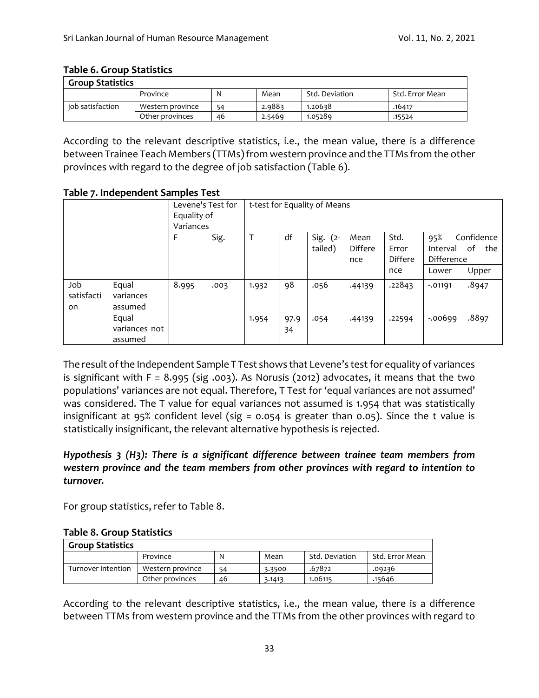#### **Table 6. Group Statistics**

| <b>Group Statistics</b> |                  |    |        |                |                 |  |  |  |  |  |
|-------------------------|------------------|----|--------|----------------|-----------------|--|--|--|--|--|
|                         | Province         |    | Mean   | Std. Deviation | Std. Error Mean |  |  |  |  |  |
| iob satisfaction        | Western province | 54 | 2.9883 | 1.20638        | .16417          |  |  |  |  |  |
|                         | Other provinces  | 46 | 2.5469 | 1.05289        | .15524          |  |  |  |  |  |

According to the relevant descriptive statistics, i.e., the mean value, there is a difference between Trainee Teach Members (TTMs) from western province and the TTMs from the other provinces with regard to the degree of job satisfaction (Table 6).

**Table 7. Independent Samples Test**

|                         |                                   | Levene's Test for<br>Equality of<br>Variances |      | t-test for Equality of Means |            |                        |                        |                                 |                               |                         |  |
|-------------------------|-----------------------------------|-----------------------------------------------|------|------------------------------|------------|------------------------|------------------------|---------------------------------|-------------------------------|-------------------------|--|
|                         |                                   | F                                             | Sig. |                              | df         | Sig. $(2 -$<br>tailed) | Mean<br>Differe<br>nce | Std.<br>Error<br><b>Differe</b> | 95%<br>Interval<br>Difference | Confidence<br>of<br>the |  |
|                         |                                   |                                               |      |                              |            |                        |                        | nce                             | Lower                         | Upper                   |  |
| Job<br>satisfacti<br>on | Equal<br>variances<br>assumed     | 8.995                                         | .003 | 1.932                        | 98         | .056                   | .44139                 | .22843                          | $-0.01191$                    | .8947                   |  |
|                         | Equal<br>variances not<br>assumed |                                               |      | 1.954                        | 97.9<br>34 | .054                   | .44139                 | .22594                          | $-0.00699$                    | .8897                   |  |

The result of the Independent Sample T Test shows that Levene's test for equality of variances is significant with  $F = 8.995$  (sig .003). As Norusis (2012) advocates, it means that the two populations' variances are not equal. Therefore, T Test for 'equal variances are not assumed' was considered. The T value for equal variances not assumed is 1.954 that was statistically insignificant at 95% confident level (sig = 0.054 is greater than 0.05). Since the t value is statistically insignificant, the relevant alternative hypothesis is rejected.

*Hypothesis 3 (H3): There is a significant difference between trainee team members from western province and the team members from other provinces with regard to intention to turnover.*

For group statistics, refer to Table 8.

#### **Table 8. Group Statistics**

| <b>Group Statistics</b> |                  |    |        |                |                 |  |  |  |  |  |
|-------------------------|------------------|----|--------|----------------|-----------------|--|--|--|--|--|
|                         | Province         | N  | Mean   | Std. Deviation | Std. Error Mean |  |  |  |  |  |
| Turnover intention      | Western province | 54 | 3.3500 | .67872         | .09236          |  |  |  |  |  |
|                         | Other provinces  | 46 | 3.1413 | 1.06115        | .15646          |  |  |  |  |  |

According to the relevant descriptive statistics, i.e., the mean value, there is a difference between TTMs from western province and the TTMs from the other provinces with regard to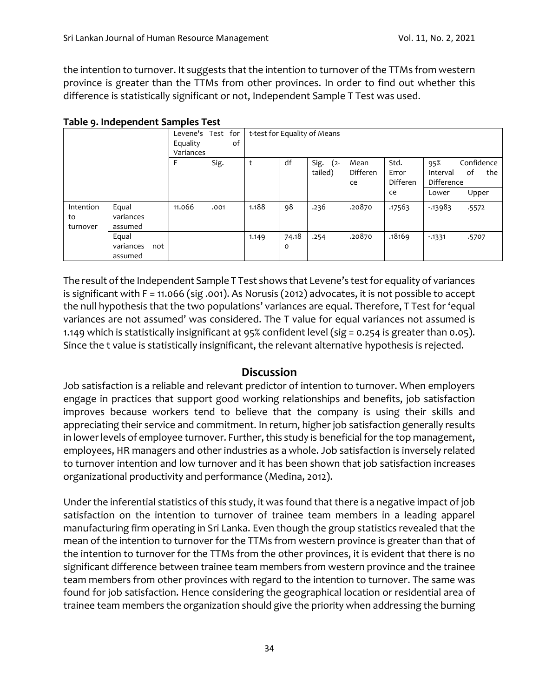the intention to turnover. It suggests that the intention to turnover of the TTMs from western province is greater than the TTMs from other provinces. In order to find out whether this difference is statistically significant or not, Independent Sample T Test was used.

| . . <i>.</i> |           |     | -----     |      |     |       |         |                              |          |                 |            |            |
|--------------|-----------|-----|-----------|------|-----|-------|---------|------------------------------|----------|-----------------|------------|------------|
|              |           |     | Levene's  | Test | for |       |         | t-test for Equality of Means |          |                 |            |            |
|              |           |     | Equality  |      | 0f  |       |         |                              |          |                 |            |            |
|              |           |     | Variances |      |     |       |         |                              |          |                 |            |            |
|              |           |     |           | Sig. |     | t     | df      | Sig.<br>$(2 -$               | Mean     | Std.            | 95%        | Confidence |
|              |           |     |           |      |     |       |         | tailed)                      | Differen | Error           | Interval   | οf<br>the  |
|              |           |     |           |      |     |       |         |                              | ce       | <b>Differen</b> | Difference |            |
|              |           |     |           |      |     |       |         |                              |          | ce              | Lower      | Upper      |
| Intention    | Equal     |     | 11.066    | .001 |     | 1.188 | 98      | .236                         | .20870   | .17563          | $-13983$   | .5572      |
| to           | variances |     |           |      |     |       |         |                              |          |                 |            |            |
| turnover     | assumed   |     |           |      |     |       |         |                              |          |                 |            |            |
|              | Equal     |     |           |      |     | 1.149 | 74.18   | .254                         | .20870   | .18169          | $-1331$    | .5707      |
|              | variances | not |           |      |     |       | $\circ$ |                              |          |                 |            |            |
|              | assumed   |     |           |      |     |       |         |                              |          |                 |            |            |

#### **Table 9. Independent Samples Test**

The result of the Independent Sample T Test shows that Levene's test for equality of variances is significant with F = 11.066 (sig .001). As Norusis (2012) advocates, it is not possible to accept the null hypothesis that the two populations' variances are equal. Therefore, T Test for 'equal variances are not assumed' was considered. The T value for equal variances not assumed is 1.149 which is statistically insignificant at 95% confident level (sig = 0.254 is greater than 0.05). Since the t value is statistically insignificant, the relevant alternative hypothesis is rejected.

### **Discussion**

Job satisfaction is a reliable and relevant predictor of intention to turnover. When employers engage in practices that support good working relationships and benefits, job satisfaction improves because workers tend to believe that the company is using their skills and appreciating their service and commitment. In return, higher job satisfaction generally results in lower levels of employee turnover. Further, this study is beneficial for the top management, employees, HR managers and other industries as a whole. Job satisfaction is inversely related to turnover intention and low turnover and it has been shown that job satisfaction increases organizational productivity and performance (Medina, 2012).

Under the inferential statistics of this study, it was found that there is a negative impact of job satisfaction on the intention to turnover of trainee team members in a leading apparel manufacturing firm operating in Sri Lanka. Even though the group statistics revealed that the mean of the intention to turnover for the TTMs from western province is greater than that of the intention to turnover for the TTMs from the other provinces, it is evident that there is no significant difference between trainee team members from western province and the trainee team members from other provinces with regard to the intention to turnover. The same was found for job satisfaction. Hence considering the geographical location or residential area of trainee team members the organization should give the priority when addressing the burning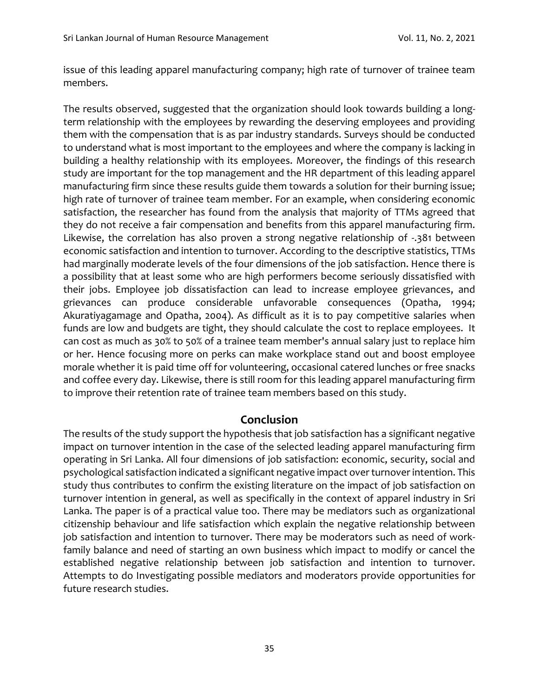issue of this leading apparel manufacturing company; high rate of turnover of trainee team members.

The results observed, suggested that the organization should look towards building a longterm relationship with the employees by rewarding the deserving employees and providing them with the compensation that is as par industry standards. Surveys should be conducted to understand what is most important to the employees and where the company is lacking in building a healthy relationship with its employees. Moreover, the findings of this research study are important for the top management and the HR department of this leading apparel manufacturing firm since these results guide them towards a solution for their burning issue; high rate of turnover of trainee team member. For an example, when considering economic satisfaction, the researcher has found from the analysis that majority of TTMs agreed that they do not receive a fair compensation and benefits from this apparel manufacturing firm. Likewise, the correlation has also proven a strong negative relationship of -.381 between economic satisfaction and intention to turnover. According to the descriptive statistics, TTMs had marginally moderate levels of the four dimensions of the job satisfaction. Hence there is a possibility that at least some who are high performers become seriously dissatisfied with their jobs. Employee job dissatisfaction can lead to increase employee grievances, and grievances can produce considerable unfavorable consequences (Opatha, 1994; Akuratiyagamage and Opatha, 2004). As difficult as it is to pay competitive salaries when funds are low and budgets are tight, they should calculate the cost to replace employees. It can cost as much as 30% to 50% of a trainee team member's annual salary just to replace him or her. Hence focusing more on perks can make workplace stand out and boost employee morale whether it is paid time off for volunteering, occasional catered lunches or free snacks and coffee every day. Likewise, there is still room for this leading apparel manufacturing firm to improve their retention rate of trainee team members based on this study.

#### **Conclusion**

The results of the study support the hypothesis that job satisfaction has a significant negative impact on turnover intention in the case of the selected leading apparel manufacturing firm operating in Sri Lanka. All four dimensions of job satisfaction: economic, security, social and psychological satisfaction indicated a significant negative impact over turnover intention. This study thus contributes to confirm the existing literature on the impact of job satisfaction on turnover intention in general, as well as specifically in the context of apparel industry in Sri Lanka. The paper is of a practical value too. There may be mediators such as organizational citizenship behaviour and life satisfaction which explain the negative relationship between job satisfaction and intention to turnover. There may be moderators such as need of workfamily balance and need of starting an own business which impact to modify or cancel the established negative relationship between job satisfaction and intention to turnover. Attempts to do Investigating possible mediators and moderators provide opportunities for future research studies.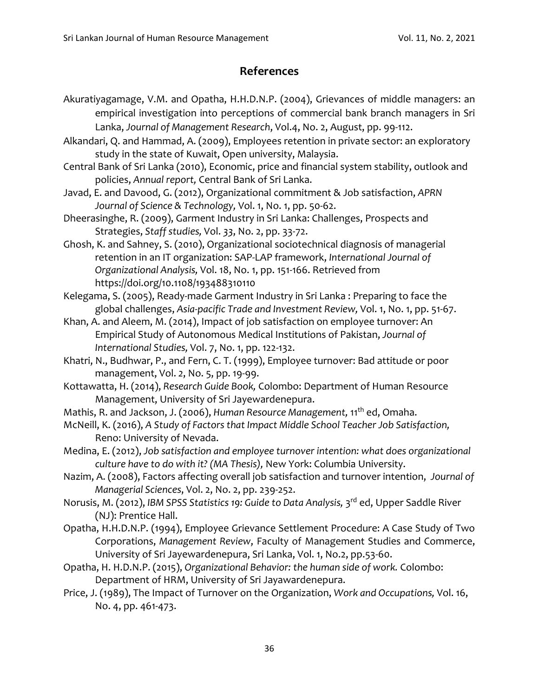# **References**

- Akuratiyagamage, V.M. and Opatha, H.H.D.N.P. (2004), Grievances of middle managers: an empirical investigation into perceptions of commercial bank branch managers in Sri Lanka, *Journal of Management Research*, Vol.4, No. 2, August, pp. 99-112.
- Alkandari, Q. and Hammad, A. (2009), Employees retention in private sector: an exploratory study in the state of Kuwait, Open university, Malaysia.
- Central Bank of Sri Lanka (2010), Economic, price and financial system stability, outlook and policies, *Annual report,* Central Bank of Sri Lanka.
- Javad, E. and Davood, G. (2012), Organizational commitment & Job satisfaction, *APRN Journal of Science & Technology,* Vol. 1, No. 1, pp. 50-62.
- Dheerasinghe, R. (2009), Garment Industry in Sri Lanka: Challenges, Prospects and Strategies, *Staff studies,* Vol. *33*, No. 2, pp. 33-72.
- Ghosh, K. and Sahney, S. (2010), Organizational sociotechnical diagnosis of managerial retention in an IT organization: SAP‐LAP framework, *International Journal of Organizational Analysis,* Vol. 18, No. 1, pp. 151-166. Retrieved from https://doi.org/10.1108/193488310110
- Kelegama, S. (2005), Ready-made Garment Industry in Sri Lanka : Preparing to face the global challenges, *Asia-pacific Trade and Investment Review,* Vol. 1, No. 1, pp. 51-67.
- Khan, A. and Aleem, M. (2014), Impact of job satisfaction on employee turnover: An Empirical Study of Autonomous Medical Institutions of Pakistan, *Journal of International Studies,* Vol. 7, No. 1, pp. 122-132.
- Khatri, N., Budhwar, P., and Fern, C. T. (1999), Employee turnover: Bad attitude or poor management, Vol. *2*, No. 5, pp. 19-99.
- Kottawatta, H. (2014), *Research Guide Book,* Colombo: Department of Human Resource Management, University of Sri Jayewardenepura.
- Mathis, R. and Jackson, J. (2006), *Human Resource Management*, 11<sup>th</sup> ed, Omaha.
- McNeill, K. (2016), *A Study of Factors that Impact Middle School Teacher Job Satisfaction,* Reno: University of Nevada.
- Medina, E. (2012), *Job satisfaction and employee turnover intention: what does organizational culture have to do with it? (MA Thesis),* New York: Columbia University.
- Nazim, A. (2008), Factors affecting overall job satisfaction and turnover intention, *Journal of Managerial Sciences*, Vol. 2, No. 2, pp. 239-252.
- Norusis, M. (2012), IBM SPSS Statistics 19: Guide to Data Analysis, 3<sup>rd</sup> ed, Upper Saddle River (NJ): Prentice Hall.
- Opatha, H.H.D.N.P. (1994), Employee Grievance Settlement Procedure: A Case Study of Two Corporations, *Management Review*, Faculty of Management Studies and Commerce, University of Sri Jayewardenepura, Sri Lanka, Vol. 1, No.2, pp.53-60.
- Opatha, H. H.D.N.P. (2015), *Organizational Behavior: the human side of work.* Colombo: Department of HRM, University of Sri Jayawardenepura.
- Price, J. (1989), The Impact of Turnover on the Organization, *Work and Occupations,* Vol. 16, No. 4, pp. 461-473.